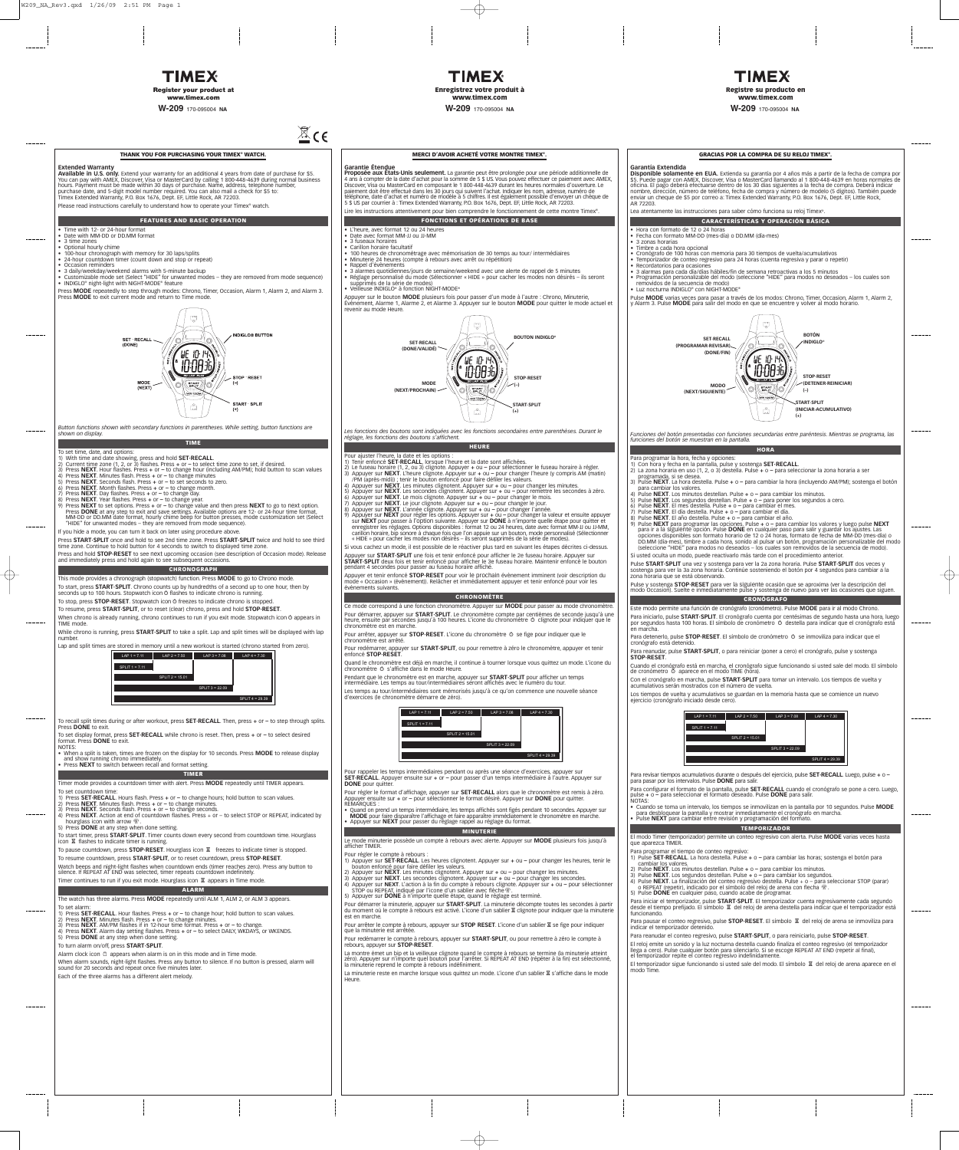#### **THANK YOU FOR PURCHASING YOUR TIMEX® WATCH.**

#### **Extended Warranty**

**Available in U.S. only.** Extend your warranty for an additional 4 years from date of purchase for \$5.<br>You can pay with AMEX, Discover, Visa or MasterCard by calling 1 800-448-4639 during normal business<br>hours. Payment mus purchase date, and 5-digit model number required. You can also mail a check for \$5 to: Timex Extended Warranty, P.O. Box 1676, Dept. EF, Little Rock, AR 72203.

Please read instructions carefully to understand how to operate your Timex® watch.

- Time with 12- or 24-hour format Date with MM-DD or DD.MM format
- 3 time zones
- Optional hourly chime
- 
- 100-hour chronograph with memory for 30 laps/splits 24-hour countdown timer (count down and stop or repeat) • Occasion reminders
- 
- 
- 3 daily/weekday/weekend alarms with 5-minute backup Customizable mode set (Select "HIDE" for unwanted modes they are removed from mode sequence) INDIGLO® night-light with NIGHT-MODE® feature

**FEATURES AND BASIC OPERATION**

Press **MODE** repeatedly to step through modes: Chrono, Timer, Occasion, Alarm 1, Alarm 2, and Alarm 3. Press **MODE** to exit current mode and return to Time mode.



- 
- 
- 
- To set time, date, and options:<br>
1) With time and date showing, press and hold **SET-RECALL**.<br>
1) With time and date showing, press and hold **SET-RECALL**.<br>
2) Current time zone (1, 2, or 3) flashes. Press + or to select
- If you hide a mode, you can turn it back on later using procedure above.

*Button functions shown with secondary functions in parentheses. While setting, button functions are shown on display.*

- 
- 
- 
- 

**TIME** 

To start, press **START·SPLIT**. Chrono counts up by hundredths of a second up to one hour, then by seconds up to 100 hours. Stopwatch icon  $\circ$  flashes to indicate chrono is running.

To stop, press **STOP·RESET**. Stopwatch icon  $\circ$  freezes to indicate chrono is stopped.

When chrono is already running, chrono continues to run if you exit mode. Stopwatch icon  $\ddot{\circ}$  appears in TIME mode.

To start timer, press **START·SPLIT**. Timer counts down every second from countdown time. Hourglass icon  $\overline{\mathbb{X}}$  flashes to indicate timer is running.

To pause countdown, press **STOP·RESET**. Hourglass icon  $\overline{\mathbb{X}}$  freezes to indicate timer is stopped.

Press **START·SPLIT** once and hold to see 2nd time zone. Press **START·SPLIT** twice and hold to see third time zone. Continue to hold button for 4 seconds to switch to displayed time zone.

Press and hold **STOP·RESET** to see next upcoming occasion (see description of Occasion mode). Release and immediately press and hold again to see subsequent occasions.

#### **CHRONOGRAPH**

This mode provides a chronograph (stopwatch) function. Press **MODE** to go to Chrono mode.

To resume, press **START·SPLIT**, or to reset (clear) chrono, press and hold **STOP·RESET**.

While chrono is running, press **START·SPLIT** to take a split. Lap and split times will be displayed with lap number.

Lap and split times are stored in memory until a new workout is started (chrono started from zero).

| $\sim$ a modes they are removed from mode sequence).                                                                                      |
|-------------------------------------------------------------------------------------------------------------------------------------------|
| ou can turn it back on later using procedure above.                                                                                       |
| nce and hold to see 2nd time zone. Press START.SPLIT twice a<br>o hold button for 4 seconds to switch to displayed time zone.             |
| RESET to see next upcoming occasion (see description of Occa<br>s and hold again to see subsequent occasions.                             |
| <b>CHRONOGRAPH</b>                                                                                                                        |
| chronograph (stopwatch) function. Press <b>MODE</b> to go to Chron                                                                        |
| <b>SPLIT</b> . Chrono counts up by hundredths of a second up to one<br>urs. Stopwatch icon $\circ$ flashes to indicate chrono is running. |
| RESET. Stopwatch icon $\circ$ freezes to indicate chrono is stopped.                                                                      |
| RT.SPLIT, or to reset (clear) chrono, press and hold STOP.RESI                                                                            |
| dy running, chrono continues to run if you exit mode. Stopwatch                                                                           |
| ng, press START·SPLIT to take a split. Lap and split times will be                                                                        |
| e stored in memory until a new workout is started (chrono start                                                                           |
| $LAP$ 1 = 7.11<br>$LAP$ 2 = 7.50<br>$LAP$ 3 = 7.08<br>$LAP$ 4 = 7.30<br><b>SPLIT 1 = 7.11</b><br>SPLIT 2 = 15.01<br>SPLIT 3 = 22.09       |
| SPLIT 4 = 29.39                                                                                                                           |
|                                                                                                                                           |

To recall split times during or after workout, press **SET·RECALL**. Then, press **+** or **–** to step through splits. Press **DONE** to exit.

To set display format, press **SET·RECALL** while chrono is reset. Then, press **+** or **–** to select desired format. Press **DONE** to exit. NOTES:

• When a split is taken, times are frozen on the display for 10 seconds. Press **MODE** to release display and show running chrono immediately. • Press **NEXT** to switch between recall and format setting.

**TIMER**

Timer mode provides a countdown timer with alert. Press **MODE** repeatedly until TIMER appears.

To set countdown time:

- 1) Press **SET·RECALL**. Hours flash. Press **+** or **–** to change hours; hold button to scan values.
- 
- 2) Press **NEXT**. Minutes flash. Press **+** or **–** to change minutes. 3) Press **NEXT**. Seconds flash. Press **+** or **–** to change seconds.
- 4) Press **NEXT**. Action at end of countdown flashes. Press + or to select STOP or REPEAT, indicated by hourglass icon with arrow  $\mathbb{R}$ . icon with arrow  $\frac{1}{2}$
- 5) Press **DONE** at any step when done setting.

To resume countdown, press **START·SPLIT**, or to reset countdown, press **STOP·RESET**.

Watch beeps and night-light flashes when countdown ends (timer reaches zero). Press any button to silence. If REPEAT AT END was selected, timer repeats countdown indefinitely.

Timer continues to run if you exit mode. Hourglass icon  $\overline{\mathbb{X}}$  appears in Time mode.

#### **ALARM**

The watch has three alarms. Press **MODE** repeatedly until ALM 1, ALM 2, or ALM 3 appears.

To set alarm:

- 1) Press SET·RECALL. Hour flashes. Press + or to change hour; hold button to scan values.<br>2) Press NEXT. Minutes flash. Press + or to change minutes.<br>3) Press NEXT. AM/PM flashes if in 12-hour time format. Press + or –
- 
- 
- 4) Press **NEXT**. Alarm day setting flashes. Press **+** or **–** to select DAILY, WKDAYS, or WKENDS.
- Press **DONE** at any step when done setting.

To turn alarm on/off, press **START·SPLIT**.

Alarm clock icon @ appears when alarm is on in this mode and in Time mode.

When alarm sounds, night-light flashes. Press any button to silence. If no button is pressed, alarm will sound for 20 seconds and repeat once five minutes later.

Each of the three alarms has a different alert melody.

## **TIMEX Register your product at www.timex.com**

**W-209** 170-095004 **NA**